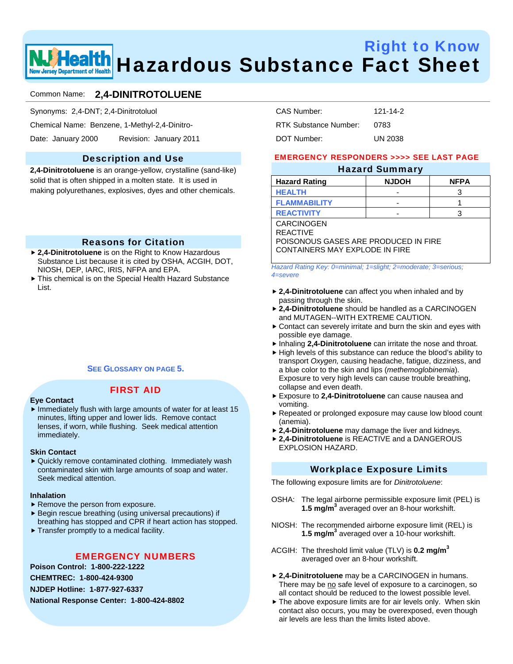# Right to Know Health Hazardous Substance Fact Sheet

# Common Name: **2,4-DINITROTOLUENE**

Synonyms: 2,4-DNT; 2,4-Dinitrotoluol

Chemical Name: Benzene, 1-Methyl-2,4-Dinitro-

Date: January 2000 Revision: January 2011

# Description and Use

**2,4-Dinitrotoluene** is an orange-yellow, crystalline (sand-like) solid that is often shipped in a molten state. It is used in making polyurethanes, explosives, dyes and other chemicals.

# Reasons for Citation

- ▶ 2,4-Dinitrotoluene is on the Right to Know Hazardous Substance List because it is cited by OSHA, ACGIH, DOT, NIOSH, DEP, IARC, IRIS, NFPA and EPA.
- $\triangleright$  This chemical is on the Special Health Hazard Substance List.

## **SEE GLOSSARY ON PAGE 5.**

#### **Eye Contact**

# FIRST AID

 $\blacktriangleright$  Immediately flush with large amounts of water for at least 15 minutes, lifting upper and lower lids. Remove contact lenses, if worn, while flushing. Seek medical attention immediately.

#### **Skin Contact**

▶ Quickly remove contaminated clothing. Immediately wash contaminated skin with large amounts of soap and water. Seek medical attention.

#### **Inhalation**

- $\blacktriangleright$  Remove the person from exposure.
- $\blacktriangleright$  Begin rescue breathing (using universal precautions) if breathing has stopped and CPR if heart action has stopped.
- $\blacktriangleright$  Transfer promptly to a medical facility.

# EMERGENCY NUMBERS

**Poison Control: 1-800-222-1222 CHEMTREC: 1-800-424-9300** 

**NJDEP Hotline: 1-877-927-6337** 

**National Response Center: 1-800-424-8802** 

| CAS Number:           | 121-14-2       |
|-----------------------|----------------|
| RTK Substance Number: | 0783           |
| DOT Number:           | <b>UN 2038</b> |

## EMERGENCY RESPONDERS >>>> SEE LAST PAGE

# Hazard Summary

| <b>Hazard Rating</b> | <b>NJDOH</b> | <b>NFPA</b> |
|----------------------|--------------|-------------|
| <b>HEALTH</b>        | -            |             |
| <b>FLAMMABILITY</b>  | -            |             |
| <b>REACTIVITY</b>    | -            |             |

CARCINOGEN REACTIVE

POISONOUS GASES ARE PRODUCED IN FIRE CONTAINERS MAY EXPLODE IN FIRE

*Hazard Rating Key: 0=minimal; 1=slight; 2=moderate; 3=serious; 4=severe*

- ▶ 2,4-Dinitrotoluene can affect you when inhaled and by passing through the skin.
- ▶ 2,4-Dinitrotoluene should be handled as a CARCINOGEN and MUTAGEN--WITH EXTREME CAUTION.
- $\triangleright$  Contact can severely irritate and burn the skin and eyes with possible eye damage.
- **h** Inhaling 2,4-Dinitrotoluene can irritate the nose and throat.
- $\blacktriangleright$  High levels of this substance can reduce the blood's ability to transport *Oxygen,* causing headache, fatigue, dizziness, and a blue color to the skin and lips (*methemoglobinemia*). Exposure to very high levels can cause trouble breathing, collapse and even death.
- f Exposure to **2,4-Dinitrotoluene** can cause nausea and vomiting.
- Repeated or prolonged exposure may cause low blood count (anemia).
- ▶ 2,4-Dinitrotoluene may damage the liver and kidneys.
- **▶ 2,4-Dinitrotoluene** is REACTIVE and a DANGEROUS EXPLOSION HAZARD.

## Workplace Exposure Limits

The following exposure limits are for *Dinitrotoluene*:

- OSHA: The legal airborne permissible exposure limit (PEL) is **1.5 mg/m3** averaged over an 8-hour workshift.
- NIOSH: The recommended airborne exposure limit (REL) is **1.5 mg/m3** averaged over a 10-hour workshift.
- ACGIH: The threshold limit value (TLV) is **0.2 mg/m3** averaged over an 8-hour workshift.
- ▶ 2,4-Dinitrotoluene may be a CARCINOGEN in humans. There may be no safe level of exposure to a carcinogen, so all contact should be reduced to the lowest possible level.
- $\blacktriangleright$  The above exposure limits are for air levels only. When skin contact also occurs, you may be overexposed, even though air levels are less than the limits listed above.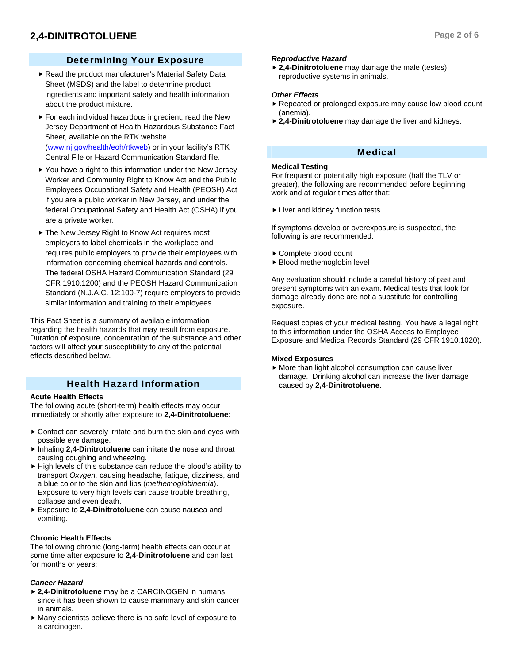# Determining Your Exposure

- Read the product manufacturer's Material Safety Data Sheet (MSDS) and the label to determine product ingredients and important safety and health information about the product mixture.
- $\blacktriangleright$  For each individual hazardous ingredient, read the New Jersey Department of Health Hazardous Substance Fact Sheet, available on the RTK website (www.nj.gov/health/eoh/rtkweb) or in your facility's RTK Central File or Hazard Communication Standard file.
- $\blacktriangleright$  You have a right to this information under the New Jersey Worker and Community Right to Know Act and the Public Employees Occupational Safety and Health (PEOSH) Act if you are a public worker in New Jersey, and under the federal Occupational Safety and Health Act (OSHA) if you are a private worker.
- ▶ The New Jersey Right to Know Act requires most employers to label chemicals in the workplace and requires public employers to provide their employees with information concerning chemical hazards and controls. The federal OSHA Hazard Communication Standard (29 CFR 1910.1200) and the PEOSH Hazard Communication Standard (N.J.A.C. 12:100-7) require employers to provide similar information and training to their employees.

This Fact Sheet is a summary of available information regarding the health hazards that may result from exposure. Duration of exposure, concentration of the substance and other factors will affect your susceptibility to any of the potential effects described below.

# Health Hazard Information

#### **Acute Health Effects**

The following acute (short-term) health effects may occur immediately or shortly after exposure to **2,4-Dinitrotoluene**:

- $\triangleright$  Contact can severely irritate and burn the skin and eyes with possible eye damage.
- **F** Inhaling 2,4-Dinitrotoluene can irritate the nose and throat causing coughing and wheezing.
- $\blacktriangleright$  High levels of this substance can reduce the blood's ability to transport *Oxygen,* causing headache, fatigue, dizziness, and a blue color to the skin and lips (*methemoglobinemia*). Exposure to very high levels can cause trouble breathing, collapse and even death.
- f Exposure to **2,4-Dinitrotoluene** can cause nausea and vomiting.

#### **Chronic Health Effects**

The following chronic (long-term) health effects can occur at some time after exposure to **2,4-Dinitrotoluene** and can last for months or years:

## *Cancer Hazard*

- **▶ 2,4-Dinitrotoluene** may be a CARCINOGEN in humans since it has been shown to cause mammary and skin cancer in animals.
- $\blacktriangleright$  Many scientists believe there is no safe level of exposure to a carcinogen.

#### *Reproductive Hazard*

▶ 2,4-Dinitrotoluene may damage the male (testes) reproductive systems in animals.

#### *Other Effects*

- $\blacktriangleright$  Repeated or prolonged exposure may cause low blood count (anemia).
- **► 2,4-Dinitrotoluene** may damage the liver and kidneys.

# Medical

#### **Medical Testing**

For frequent or potentially high exposure (half the TLV or greater), the following are recommended before beginning work and at regular times after that:

 $\blacktriangleright$  Liver and kidney function tests

If symptoms develop or overexposure is suspected, the following is are recommended:

- ► Complete blood count
- $\blacktriangleright$  Blood methemoglobin level

Any evaluation should include a careful history of past and present symptoms with an exam. Medical tests that look for damage already done are not a substitute for controlling exposure.

Request copies of your medical testing. You have a legal right to this information under the OSHA Access to Employee Exposure and Medical Records Standard (29 CFR 1910.1020).

#### **Mixed Exposures**

 $\blacktriangleright$  More than light alcohol consumption can cause liver damage. Drinking alcohol can increase the liver damage caused by **2,4-Dinitrotoluene**.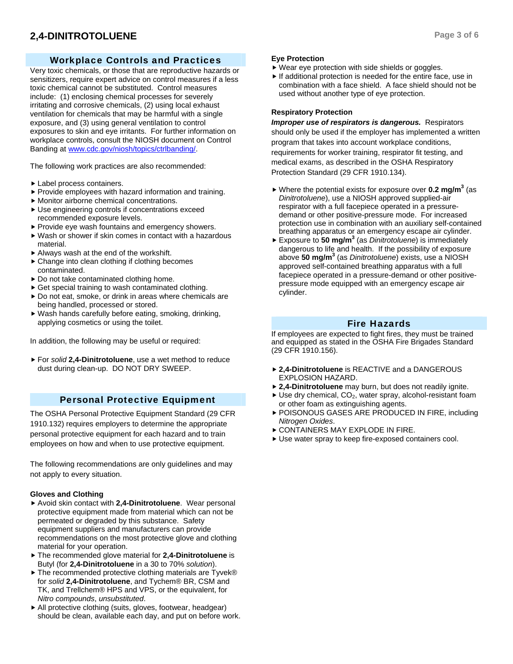# **2,4-DINITROTOLUENE** Page 3 of 6

# Workplace Controls and Practices

Very toxic chemicals, or those that are reproductive hazards or sensitizers, require expert advice on control measures if a less toxic chemical cannot be substituted. Control measures include: (1) enclosing chemical processes for severely irritating and corrosive chemicals, (2) using local exhaust ventilation for chemicals that may be harmful with a single exposure, and (3) using general ventilation to control exposures to skin and eye irritants. For further information on workplace controls, consult the NIOSH document on Control Banding at www.cdc.gov/niosh/topics/ctrlbanding/.

The following work practices are also recommended:

- $\blacktriangleright$  Label process containers.
- $\blacktriangleright$  Provide employees with hazard information and training.
- $\blacktriangleright$  Monitor airborne chemical concentrations.
- $\blacktriangleright$  Use engineering controls if concentrations exceed recommended exposure levels.
- $\blacktriangleright$  Provide eye wash fountains and emergency showers.
- $\blacktriangleright$  Wash or shower if skin comes in contact with a hazardous material.
- $\blacktriangleright$  Always wash at the end of the workshift.
- $\triangleright$  Change into clean clothing if clothing becomes contaminated.
- $\triangleright$  Do not take contaminated clothing home.
- $\triangleright$  Get special training to wash contaminated clothing.
- $\triangleright$  Do not eat, smoke, or drink in areas where chemicals are being handled, processed or stored.
- $\blacktriangleright$  Wash hands carefully before eating, smoking, drinking, applying cosmetics or using the toilet.

In addition, the following may be useful or required:

▶ For *solid* 2,4-Dinitrotoluene, use a wet method to reduce dust during clean-up. DO NOT DRY SWEEP.

# Personal Protective Equipment

The OSHA Personal Protective Equipment Standard (29 CFR 1910.132) requires employers to determine the appropriate personal protective equipment for each hazard and to train employees on how and when to use protective equipment.

The following recommendations are only guidelines and may not apply to every situation.

#### **Gloves and Clothing**

- ▶ Avoid skin contact with 2,4-Dinitrotoluene. Wear personal protective equipment made from material which can not be permeated or degraded by this substance. Safety equipment suppliers and manufacturers can provide recommendations on the most protective glove and clothing material for your operation.
- $\triangleright$  The recommended glove material for 2,4-Dinitrotoluene is Butyl (for **2,4-Dinitrotoluene** in a 30 to 70% *solution*).
- $\blacktriangleright$  The recommended protective clothing materials are Tyvek® for *solid* **2,4-Dinitrotoluene**, and Tychem® BR, CSM and TK, and Trellchem® HPS and VPS, or the equivalent, for *Nitro compounds*, *unsubstituted*.
- $\blacktriangleright$  All protective clothing (suits, gloves, footwear, headgear) should be clean, available each day, and put on before work.

#### **Eye Protection**

- $\blacktriangleright$  Wear eye protection with side shields or goggles.
- $\blacktriangleright$  If additional protection is needed for the entire face, use in combination with a face shield. A face shield should not be used without another type of eye protection.

#### **Respiratory Protection**

*Improper use of respirators is dangerous.* Respirators should only be used if the employer has implemented a written program that takes into account workplace conditions, requirements for worker training, respirator fit testing, and medical exams, as described in the OSHA Respiratory Protection Standard (29 CFR 1910.134).

- ▶ Where the potential exists for exposure over **0.2 mg/m<sup>3</sup>** (as *Dinitrotoluene*), use a NIOSH approved supplied-air respirator with a full facepiece operated in a pressuredemand or other positive-pressure mode. For increased protection use in combination with an auxiliary self-contained breathing apparatus or an emergency escape air cylinder.
- ▶ Exposure to 50 mg/m<sup>3</sup> (as *Dinitrotoluene*) is immediately dangerous to life and health. If the possibility of exposure above **50 mg/m3** (as *Dinitrotoluene*) exists, use a NIOSH approved self-contained breathing apparatus with a full facepiece operated in a pressure-demand or other positivepressure mode equipped with an emergency escape air cylinder.

# Fire Hazards

If employees are expected to fight fires, they must be trained and equipped as stated in the OSHA Fire Brigades Standard (29 CFR 1910.156).

- **▶ 2,4-Dinitrotoluene** is REACTIVE and a DANGEROUS EXPLOSION HAZARD.
- ▶ 2,4-Dinitrotoluene may burn, but does not readily ignite.
- $\blacktriangleright$  Use dry chemical, CO<sub>2</sub>, water spray, alcohol-resistant foam or other foam as extinguishing agents.
- **POISONOUS GASES ARE PRODUCED IN FIRE, including** *Nitrogen Oxides*.
- **EXPLODE IN FIRE.**
- Use water spray to keep fire-exposed containers cool.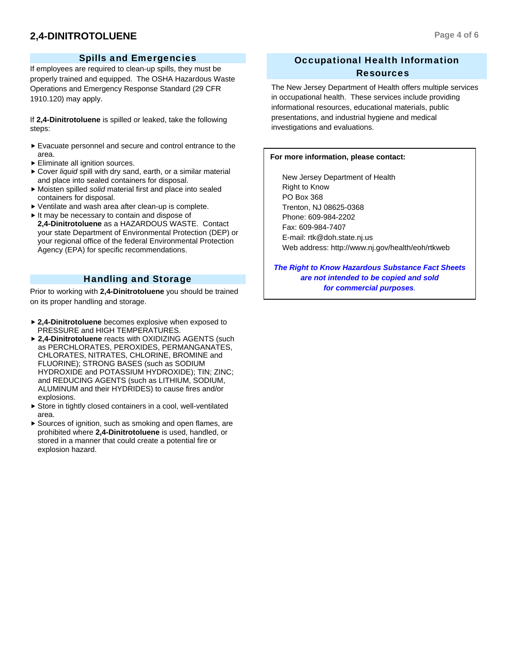# **2,4-DINITROTOLUENE** Page 4 of 6

# Spills and Emergencies

If employees are required to clean-up spills, they must be properly trained and equipped. The OSHA Hazardous Waste Operations and Emergency Response Standard (29 CFR 1910.120) may apply.

If **2,4-Dinitrotoluene** is spilled or leaked, take the following steps:

- $\blacktriangleright$  Evacuate personnel and secure and control entrance to the area.
- $\blacktriangleright$  Eliminate all ignition sources.
- ▶ Cover *liquid* spill with dry sand, earth, or a similar material and place into sealed containers for disposal.
- f Moisten spilled *solid* material first and place into sealed containers for disposal.
- $\blacktriangleright$  Ventilate and wash area after clean-up is complete.
- $\blacktriangleright$  It may be necessary to contain and dispose of **2,4-Dinitrotoluene** as a HAZARDOUS WASTE. Contact your state Department of Environmental Protection (DEP) or your regional office of the federal Environmental Protection Agency (EPA) for specific recommendations.

# Handling and Storage

Prior to working with **2,4-Dinitrotoluene** you should be trained on its proper handling and storage.

- **▶ 2,4-Dinitrotoluene** becomes explosive when exposed to PRESSURE and HIGH TEMPERATURES.
- ▶ 2.4-Dinitrotoluene reacts with OXIDIZING AGENTS (such as PERCHLORATES, PEROXIDES, PERMANGANATES, CHLORATES, NITRATES, CHLORINE, BROMINE and FLUORINE); STRONG BASES (such as SODIUM HYDROXIDE and POTASSIUM HYDROXIDE); TIN; ZINC; and REDUCING AGENTS (such as LITHIUM, SODIUM, ALUMINUM and their HYDRIDES) to cause fires and/or explosions.
- $\triangleright$  Store in tightly closed containers in a cool, well-ventilated area.
- $\blacktriangleright$  Sources of ignition, such as smoking and open flames, are prohibited where **2,4-Dinitrotoluene** is used, handled, or stored in a manner that could create a potential fire or explosion hazard.

# Occupational Health Information Resources

The New Jersey Department of Health offers multiple services in occupational health. These services include providing informational resources, educational materials, public presentations, and industrial hygiene and medical investigations and evaluations.

#### **For more information, please contact:**

 New Jersey Department of Health Right to Know PO Box 368 Trenton, NJ 08625-0368 Phone: 609-984-2202 Fax: 609-984-7407 E-mail: rtk@doh.state.nj.us Web address: http://www.nj.gov/health/eoh/rtkweb

*The Right to Know Hazardous Substance Fact Sheets are not intended to be copied and sold for commercial purposes.*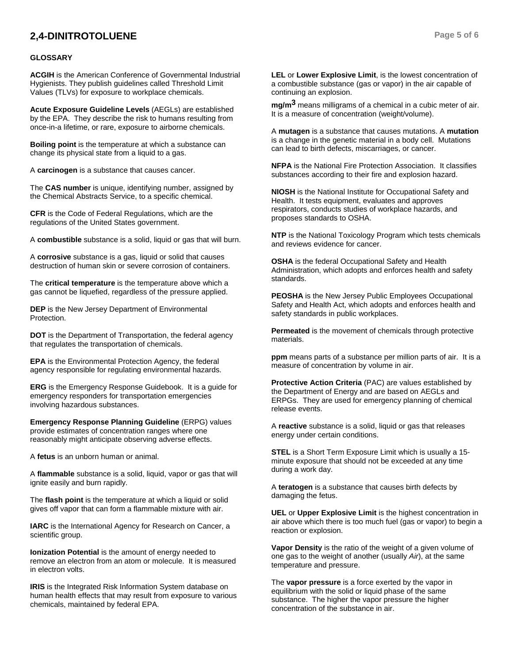# **2,4-DINITROTOLUENE** Page 5 of 6

#### **GLOSSARY**

**ACGIH** is the American Conference of Governmental Industrial Hygienists. They publish guidelines called Threshold Limit Values (TLVs) for exposure to workplace chemicals.

**Acute Exposure Guideline Levels** (AEGLs) are established by the EPA. They describe the risk to humans resulting from once-in-a lifetime, or rare, exposure to airborne chemicals.

**Boiling point** is the temperature at which a substance can change its physical state from a liquid to a gas.

A **carcinogen** is a substance that causes cancer.

The **CAS number** is unique, identifying number, assigned by the Chemical Abstracts Service, to a specific chemical.

**CFR** is the Code of Federal Regulations, which are the regulations of the United States government.

A **combustible** substance is a solid, liquid or gas that will burn.

A **corrosive** substance is a gas, liquid or solid that causes destruction of human skin or severe corrosion of containers.

The **critical temperature** is the temperature above which a gas cannot be liquefied, regardless of the pressure applied.

**DEP** is the New Jersey Department of Environmental Protection.

**DOT** is the Department of Transportation, the federal agency that regulates the transportation of chemicals.

**EPA** is the Environmental Protection Agency, the federal agency responsible for regulating environmental hazards.

**ERG** is the Emergency Response Guidebook. It is a guide for emergency responders for transportation emergencies involving hazardous substances.

**Emergency Response Planning Guideline** (ERPG) values provide estimates of concentration ranges where one reasonably might anticipate observing adverse effects.

A **fetus** is an unborn human or animal.

A **flammable** substance is a solid, liquid, vapor or gas that will ignite easily and burn rapidly.

The **flash point** is the temperature at which a liquid or solid gives off vapor that can form a flammable mixture with air.

**IARC** is the International Agency for Research on Cancer, a scientific group.

**Ionization Potential** is the amount of energy needed to remove an electron from an atom or molecule. It is measured in electron volts.

**IRIS** is the Integrated Risk Information System database on human health effects that may result from exposure to various chemicals, maintained by federal EPA.

**LEL** or **Lower Explosive Limit**, is the lowest concentration of a combustible substance (gas or vapor) in the air capable of continuing an explosion.

**mg/m3** means milligrams of a chemical in a cubic meter of air. It is a measure of concentration (weight/volume).

A **mutagen** is a substance that causes mutations. A **mutation** is a change in the genetic material in a body cell. Mutations can lead to birth defects, miscarriages, or cancer.

**NFPA** is the National Fire Protection Association. It classifies substances according to their fire and explosion hazard.

**NIOSH** is the National Institute for Occupational Safety and Health. It tests equipment, evaluates and approves respirators, conducts studies of workplace hazards, and proposes standards to OSHA.

**NTP** is the National Toxicology Program which tests chemicals and reviews evidence for cancer.

**OSHA** is the federal Occupational Safety and Health Administration, which adopts and enforces health and safety standards.

**PEOSHA** is the New Jersey Public Employees Occupational Safety and Health Act, which adopts and enforces health and safety standards in public workplaces.

**Permeated** is the movement of chemicals through protective materials.

**ppm** means parts of a substance per million parts of air. It is a measure of concentration by volume in air.

**Protective Action Criteria** (PAC) are values established by the Department of Energy and are based on AEGLs and ERPGs. They are used for emergency planning of chemical release events.

A **reactive** substance is a solid, liquid or gas that releases energy under certain conditions.

**STEL** is a Short Term Exposure Limit which is usually a 15 minute exposure that should not be exceeded at any time during a work day.

A **teratogen** is a substance that causes birth defects by damaging the fetus.

**UEL** or **Upper Explosive Limit** is the highest concentration in air above which there is too much fuel (gas or vapor) to begin a reaction or explosion.

**Vapor Density** is the ratio of the weight of a given volume of one gas to the weight of another (usually *Air*), at the same temperature and pressure.

The **vapor pressure** is a force exerted by the vapor in equilibrium with the solid or liquid phase of the same substance. The higher the vapor pressure the higher concentration of the substance in air.